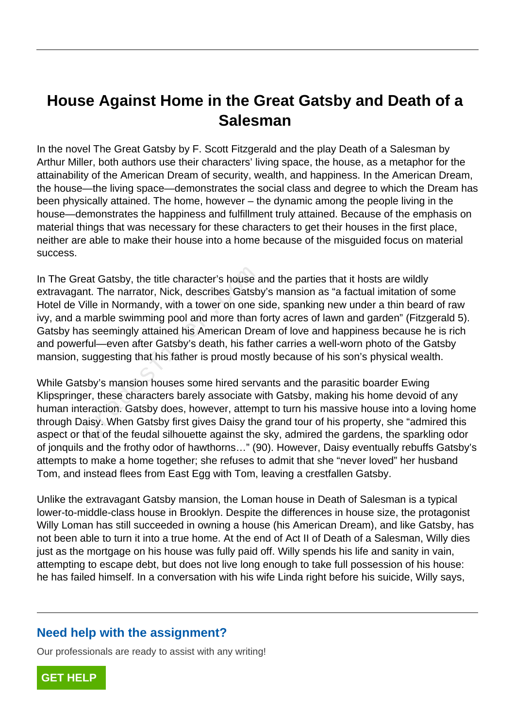## **House Against Home in the Great Gatsby and Death of a Salesman**

In the novel The Great Gatsby by F. Scott Fitzgerald and the play Death of a Salesman by Arthur Miller, both authors use their characters' living space, the house, as a metaphor for the attainability of the American Dream of security, wealth, and happiness. In the American Dream, the house—the living space—demonstrates the social class and degree to which the Dream has been physically attained. The home, however – the dynamic among the people living in the house—demonstrates the happiness and fulfillment truly attained. Because of the emphasis on material things that was necessary for these characters to get their houses in the first place, neither are able to make their house into a home because of the misguided focus on material success.

In The Great Gatsby, the title character's house and the parties that it hosts are wildly extravagant. The narrator, Nick, describes Gatsby's mansion as "a factual imitation of some Hotel de Ville in Normandy, with a tower on one side, spanking new under a thin beard of raw ivy, and a marble swimming pool and more than forty acres of lawn and garden" (Fitzgerald 5). Gatsby has seemingly attained his American Dream of love and happiness because he is rich and powerful—even after Gatsby's death, his father carries a well-worn photo of the Gatsby mansion, suggesting that his father is proud mostly because of his son's physical wealth. eat Gatsby, the title character's house and the marrator, Nick, describes Gatsbille in Normandy, with a tower on one smarble swimming pool and more than is seemingly attained his American Dre ful—even after Gatsby's death,

While Gatsby's mansion houses some hired servants and the parasitic boarder Ewing Klipspringer, these characters barely associate with Gatsby, making his home devoid of any human interaction. Gatsby does, however, attempt to turn his massive house into a loving home through Daisy. When Gatsby first gives Daisy the grand tour of his property, she "admired this aspect or that of the feudal silhouette against the sky, admired the gardens, the sparkling odor of jonquils and the frothy odor of hawthorns…" (90). However, Daisy eventually rebuffs Gatsby's attempts to make a home together; she refuses to admit that she "never loved" her husband Tom, and instead flees from East Egg with Tom, leaving a crestfallen Gatsby.

Unlike the extravagant Gatsby mansion, the Loman house in Death of Salesman is a typical lower-to-middle-class house in Brooklyn. Despite the differences in house size, the protagonist Willy Loman has still succeeded in owning a house (his American Dream), and like Gatsby, has not been able to turn it into a true home. At the end of Act II of Death of a Salesman, Willy dies just as the mortgage on his house was fully paid off. Willy spends his life and sanity in vain, attempting to escape debt, but does not live long enough to take full possession of his house: he has failed himself. In a conversation with his wife Linda right before his suicide, Willy says,

## **Need help with the assignment?**

Our professionals are ready to assist with any writing!